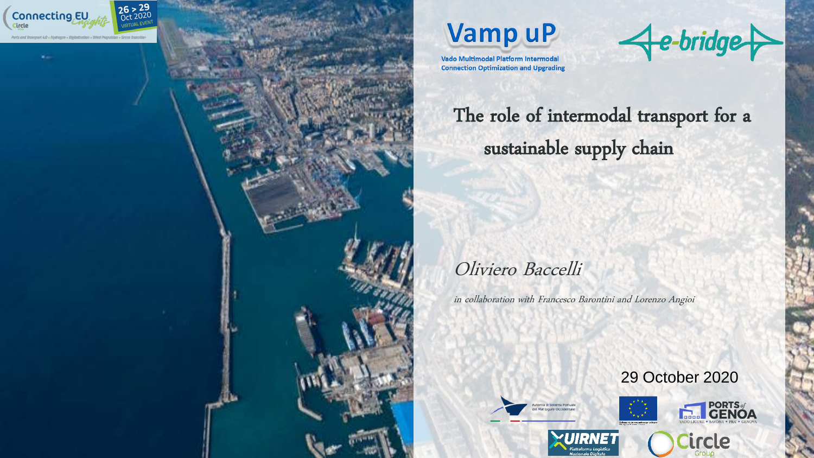





The role of intermodal transport for a sustainable supply chain

# Oliviero Baccelli

in collaboration with Francesco Barontini and Lorenzo Angioi

rità di Sistema Portuale





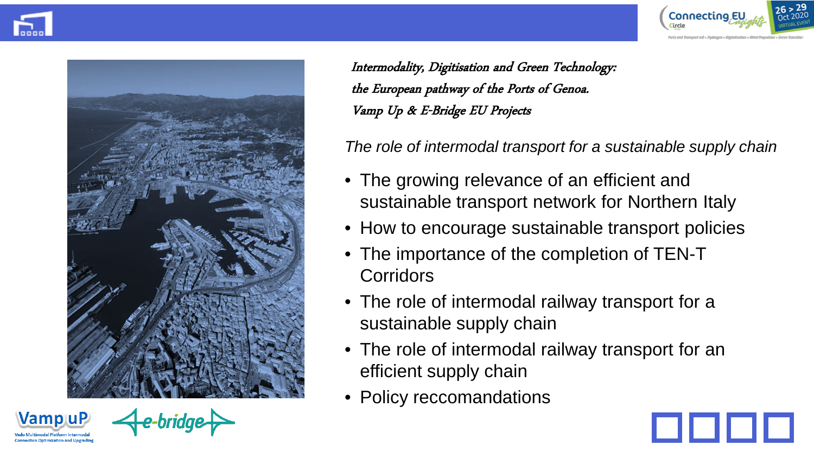



Intermodality, Digitisation and Green Technology: the European pathway of the Ports of Genoa. Vamp Up & E-Bridge EU Projects

*The role of intermodal transport for a sustainable supply chain* 

- The growing relevance of an efficient and sustainable transport network for Northern Italy
- How to encourage sustainable transport policies
- The importance of the completion of TEN-T **Corridors**
- The role of intermodal railway transport for a sustainable supply chain
- The role of intermodal railway transport for an efficient supply chain
- Policy reccomandations



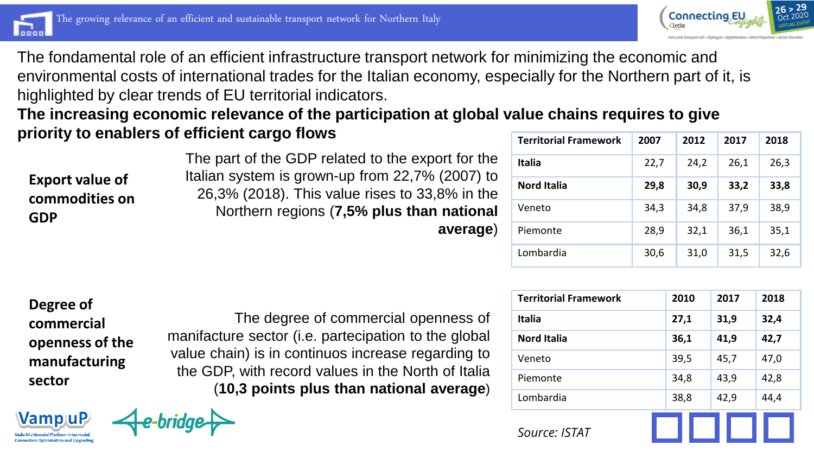



The fondamental role of an efficient infrastructure transport network for minimizing the economic and environmental costs of international trades for the Italian economy, especially for the Northern part of it, is highlighted by clear trends of EU territorial indicators.

**The increasing economic relevance of the participation at global value chains requires to give priority to enablers of efficient cargo flows** 

**Export value of commodities on GDP**

The part of the GDP related to the export for the Italian system is grown-up from 22,7% (2007) to 26,3% (2018). This value rises to 33,8% in the Northern regions (**7,5% plus than national average**)

| <b>Territorial Framework</b> | 2007 | 2012 | 2017 | 2018 |
|------------------------------|------|------|------|------|
| <b>Italia</b>                | 22,7 | 24,2 | 26,1 | 26,3 |
| <b>Nord Italia</b>           | 29,8 | 30,9 | 33,2 | 33,8 |
| Veneto                       | 34,3 | 34,8 | 37,9 | 38,9 |
| Piemonte                     | 28,9 | 32,1 | 36,1 | 35,1 |
| Lombardia                    | 30,6 | 31,0 | 31,5 | 32,6 |

**Degree of commercial openness of the manufacturing sector**

**Vamp uP** 

The degree of commercial openness of manifacture sector (i.e. partecipation to the global value chain) is in continuos increase regarding to the GDP, with record values in the North of Italia (**10,3 points plus than national average**)

| <b>Territorial Framework</b> | 2010 | 2017 | 2018 |
|------------------------------|------|------|------|
| <b>Italia</b>                | 27,1 | 31,9 | 32,4 |
| <b>Nord Italia</b>           | 36,1 | 41,9 | 42,7 |
| Veneto                       | 39,5 | 45,7 | 47,0 |
| Piemonte                     | 34,8 | 43,9 | 42,8 |
| Lombardia                    | 38,8 | 42,9 | 44,4 |
| Source: ISTAT                |      |      |      |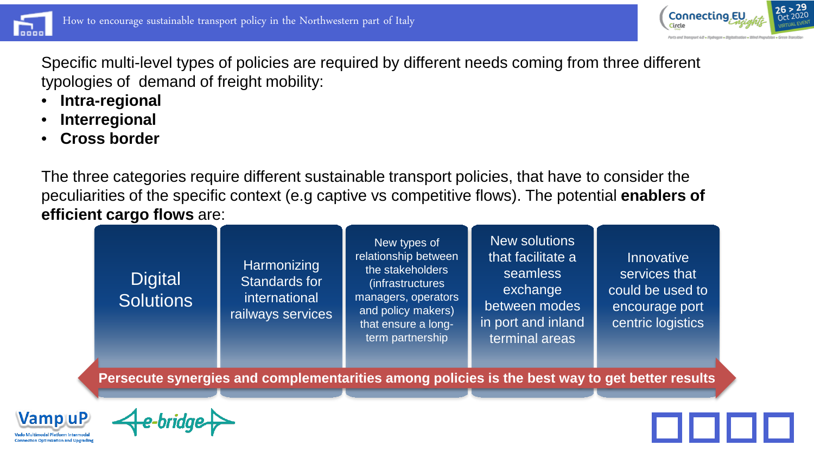



Specific multi-level types of policies are required by different needs coming from three different typologies of demand of freight mobility:

- **Intra-regional**
- **Interregional**
- **Cross border**

The three categories require different sustainable transport policies, that have to consider the peculiarities of the specific context (e.g captive vs competitive flows). The potential **enablers of efficient cargo flows** are:

| <b>Digital</b><br><b>Solutions</b> | Harmonizing<br>Standards for<br>international<br>railways services | New types of<br>relationship between<br>the stakeholders<br>(infrastructures<br>managers, operators<br>and policy makers)<br>that ensure a long-<br>term partnership | <b>New solutions</b><br>that facilitate a<br>seamless<br>exchange<br>between modes<br>in port and inland<br>terminal areas | <b>Innovative</b><br>services that<br>could be used to<br>encourage port<br>centric logistics |
|------------------------------------|--------------------------------------------------------------------|----------------------------------------------------------------------------------------------------------------------------------------------------------------------|----------------------------------------------------------------------------------------------------------------------------|-----------------------------------------------------------------------------------------------|
|                                    |                                                                    | Persecute synergies and complementarities among policies is the best way to get better results                                                                       |                                                                                                                            |                                                                                               |



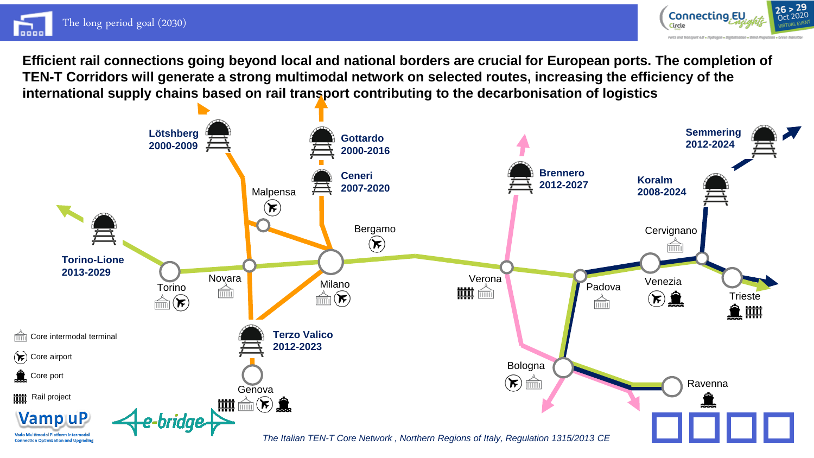



**Efficient rail connections going beyond local and national borders are crucial for European ports. The completion of TEN-T Corridors will generate a strong multimodal network on selected routes, increasing the efficiency of the international supply chains based on rail transport contributing to the decarbonisation of logistics**

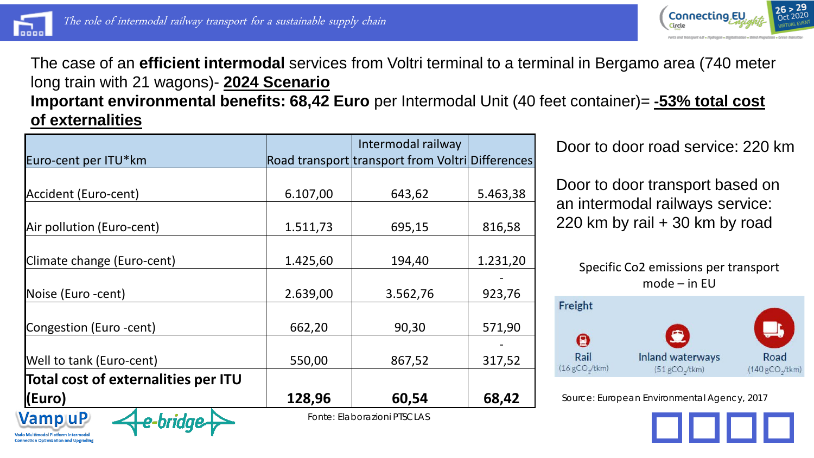



## The case of an **efficient intermodal** services from Voltri terminal to a terminal in Bergamo area (740 meter long train with 21 wagons)- **2024 Scenario**

**Important environmental benefits: 68,42 Euro** per Intermodal Unit (40 feet container)= **-53% total cost of externalities**

|                                     |          | Intermodal railway                               |          |
|-------------------------------------|----------|--------------------------------------------------|----------|
| Euro-cent per ITU*km                |          | Road transport transport from Voltri Differences |          |
|                                     |          |                                                  |          |
| Accident (Euro-cent)                | 6.107,00 | 643,62                                           | 5.463,38 |
| Air pollution (Euro-cent)           | 1.511,73 | 695,15                                           | 816,58   |
|                                     |          |                                                  |          |
| Climate change (Euro-cent)          | 1.425,60 | 194,40                                           | 1.231,20 |
| Noise (Euro -cent)                  | 2.639,00 | 3.562,76                                         | 923,76   |
| Congestion (Euro -cent)             | 662,20   | 90,30                                            | 571,90   |
| Well to tank (Euro-cent)            | 550,00   | 867,52                                           | 317,52   |
| Total cost of externalities per ITU |          |                                                  |          |
| (Euro)                              | 128,96   | 60,54                                            | 68,42    |
| <b>Vamp uP</b><br>o-hridae.         |          | Fonte: Elaborazioni PTSCLAS                      |          |

Door to door road service: 220 km

Door to door transport based on an intermodal railways service: 220 km by rail + 30 km by road





Source: European Environmental Agency, 2017

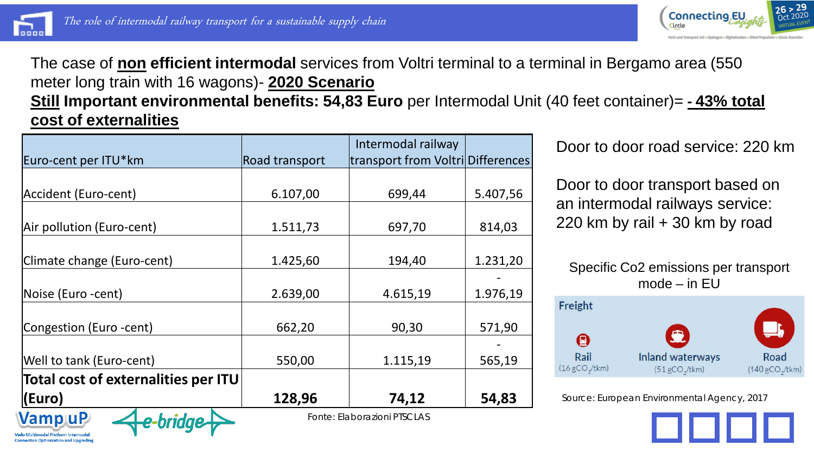



### The case of **non efficient intermodal** services from Voltri terminal to a terminal in Bergamo area (550 meter long train with 16 wagons)- **2020 Scenario Still Important environmental benefits: 54,83 Euro** per Intermodal Unit (40 feet container)= **- 43% total cost of externalities**

|                                     |                | Intermodal railway                |          |
|-------------------------------------|----------------|-----------------------------------|----------|
| Euro-cent per ITU*km                | Road transport | transport from Voltri Differences |          |
|                                     |                |                                   |          |
| Accident (Euro-cent)                | 6.107,00       | 699,44                            | 5.407,56 |
|                                     |                |                                   |          |
| Air pollution (Euro-cent)           | 1.511,73       | 697,70                            | 814,03   |
|                                     |                |                                   |          |
| Climate change (Euro-cent)          | 1.425,60       | 194,40                            | 1.231,20 |
|                                     |                |                                   |          |
| Noise (Euro -cent)                  | 2.639,00       | 4.615,19                          | 1.976,19 |
|                                     |                |                                   |          |
| Congestion (Euro -cent)             | 662,20         | 90,30                             | 571,90   |
|                                     |                |                                   |          |
| Well to tank (Euro-cent)            | 550,00         | 1.115,19                          | 565,19   |
| Total cost of externalities per ITU |                |                                   |          |
| (Euro)                              | 128,96         | 74,12                             | 54,83    |
| <b>Vamp uP</b><br>o-hridae.         |                | Fonte: Elaborazioni PTSCLAS       |          |

Door to door road service: 220 km

Door to door transport based on an intermodal railways service: 220 km by rail + 30 km by road

Specific Co2 emissions per transport mode – in EU



Source: European Environmental Agency, 2017

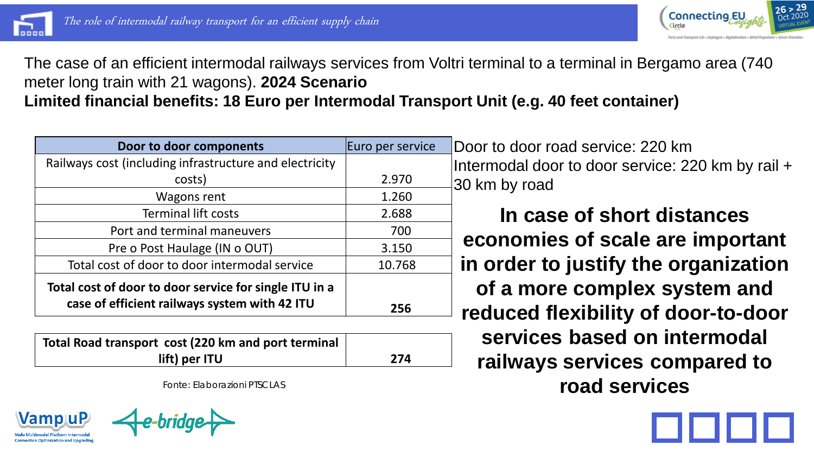



The case of an efficient intermodal railways services from Voltri terminal to a terminal in Bergamo area (740 meter long train with 21 wagons). **2024 Scenario Limited financial benefits: 18 Euro per Intermodal Transport Unit (e.g. 40 feet container)** 

| Door to door components                                                                                 | Euro per service | IГ |
|---------------------------------------------------------------------------------------------------------|------------------|----|
| Railways cost (including infrastructure and electricity                                                 |                  | Ir |
| costs)                                                                                                  | 2.970            | 3  |
| Wagons rent                                                                                             | 1.260            |    |
| <b>Terminal lift costs</b>                                                                              | 2.688            |    |
| Port and terminal maneuvers                                                                             | 700              |    |
| Pre o Post Haulage (IN o OUT)                                                                           | 3.150            |    |
| Total cost of door to door intermodal service                                                           | 10.768           |    |
| Total cost of door to door service for single ITU in a<br>case of efficient railways system with 42 ITU | 256              |    |

| Total Road transport cost (220 km and port terminal |     |
|-----------------------------------------------------|-----|
| lift) per ITU                                       | 274 |

*Fonte: Elaborazioni PTSCLAS*

**Vamp uP** onnection Optimization and Ungradi

Door to door road service: 220 km Intermodal door to door service: 220 km by rail + 30 km by road

**In case of short distances economies of scale are important in order to justify the organization of a more complex system and reduced flexibility of door-to-door services based on intermodal railways services compared to road services**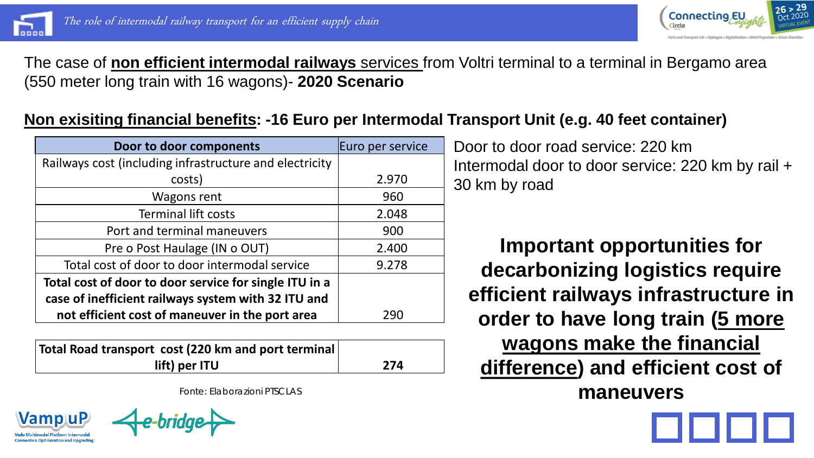

**Vamp uP Connection Optimization and Ungradin** 



The case of **non efficient intermodal railways** services from Voltri terminal to a terminal in Bergamo area (550 meter long train with 16 wagons)- **2020 Scenario**

## **Non exisiting financial benefits: -16 Euro per Intermodal Transport Unit (e.g. 40 feet container)**

| Door to door components                                                                                       | Euro per service |
|---------------------------------------------------------------------------------------------------------------|------------------|
| Railways cost (including infrastructure and electricity                                                       |                  |
| costs)                                                                                                        | 2.970            |
| Wagons rent                                                                                                   | 960              |
| <b>Terminal lift costs</b>                                                                                    | 2.048            |
| Port and terminal maneuvers                                                                                   | 900              |
| Pre o Post Haulage (IN o OUT)                                                                                 | 2.400            |
| Total cost of door to door intermodal service                                                                 | 9.278            |
| Total cost of door to door service for single ITU in a<br>case of inefficient railways system with 32 ITU and |                  |
| not efficient cost of maneuver in the port area                                                               | 290              |

| Total Road transport cost (220 km and port terminal |     |
|-----------------------------------------------------|-----|
| lift) per ITU                                       | 274 |

*Fonte: Elaborazioni PTSCLAS*

Door to door road service: 220 km Intermodal door to door service: 220 km by rail + 30 km by road

**Important opportunities for decarbonizing logistics require efficient railways infrastructure in order to have long train (5 more wagons make the financial difference) and efficient cost of maneuvers**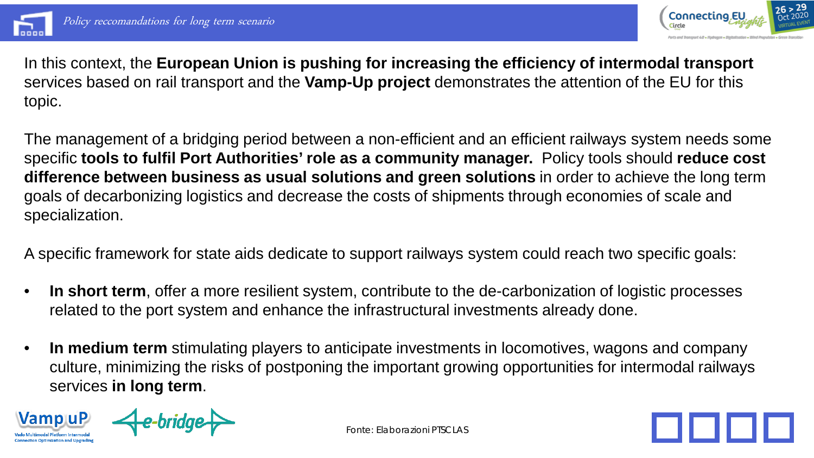



In this context, the **European Union is pushing for increasing the efficiency of intermodal transport**  services based on rail transport and the **Vamp-Up project** demonstrates the attention of the EU for this topic.

The management of a bridging period between a non-efficient and an efficient railways system needs some specific **tools to fulfil Port Authorities' role as a community manager.** Policy tools should **reduce cost difference between business as usual solutions and green solutions** in order to achieve the long term goals of decarbonizing logistics and decrease the costs of shipments through economies of scale and specialization.

A specific framework for state aids dedicate to support railways system could reach two specific goals:

- **In short term**, offer a more resilient system, contribute to the de-carbonization of logistic processes related to the port system and enhance the infrastructural investments already done.
- **In medium term** stimulating players to anticipate investments in locomotives, wagons and company culture, minimizing the risks of postponing the important growing opportunities for intermodal railways services **in long term**.

**VampuP** 



*Fonte: Elaborazioni PTSCLAS*